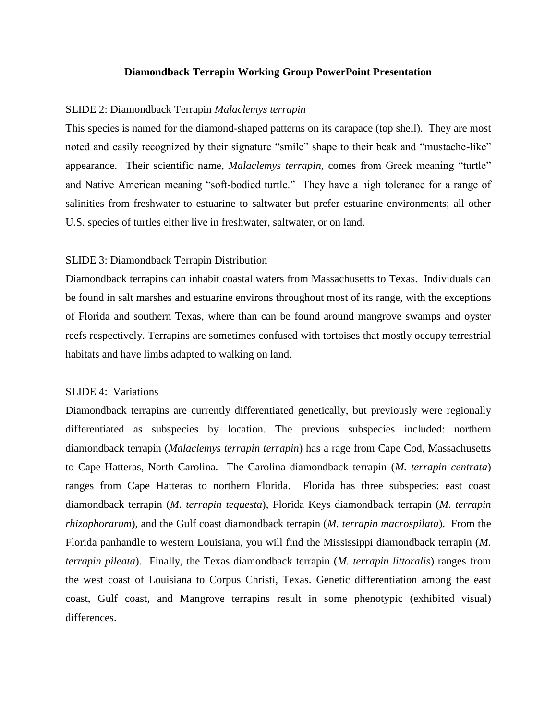### **Diamondback Terrapin Working Group PowerPoint Presentation**

### SLIDE 2: Diamondback Terrapin *Malaclemys terrapin*

This species is named for the diamond-shaped patterns on its carapace (top shell). They are most noted and easily recognized by their signature "smile" shape to their beak and "mustache-like" appearance. Their scientific name, *Malaclemys terrapin*, comes from Greek meaning "turtle" and Native American meaning "soft-bodied turtle." They have a high tolerance for a range of salinities from freshwater to estuarine to saltwater but prefer estuarine environments; all other U.S. species of turtles either live in freshwater, saltwater, or on land.

### SLIDE 3: Diamondback Terrapin Distribution

Diamondback terrapins can inhabit coastal waters from Massachusetts to Texas. Individuals can be found in salt marshes and estuarine environs throughout most of its range, with the exceptions of Florida and southern Texas, where than can be found around mangrove swamps and oyster reefs respectively. Terrapins are sometimes confused with tortoises that mostly occupy terrestrial habitats and have limbs adapted to walking on land.

# SLIDE 4: Variations

Diamondback terrapins are currently differentiated genetically, but previously were regionally differentiated as subspecies by location. The previous subspecies included: northern diamondback terrapin (*Malaclemys terrapin terrapin*) has a rage from Cape Cod, Massachusetts to Cape Hatteras, North Carolina. The Carolina diamondback terrapin (*M. terrapin centrata*) ranges from Cape Hatteras to northern Florida. Florida has three subspecies: east coast diamondback terrapin (*M. terrapin tequesta*), Florida Keys diamondback terrapin (*M. terrapin rhizophorarum*), and the Gulf coast diamondback terrapin (*M. terrapin macrospilata*). From the Florida panhandle to western Louisiana, you will find the Mississippi diamondback terrapin (*M. terrapin pileata*). Finally, the Texas diamondback terrapin (*M. terrapin littoralis*) ranges from the west coast of Louisiana to Corpus Christi, Texas. Genetic differentiation among the east coast, Gulf coast, and Mangrove terrapins result in some phenotypic (exhibited visual) differences.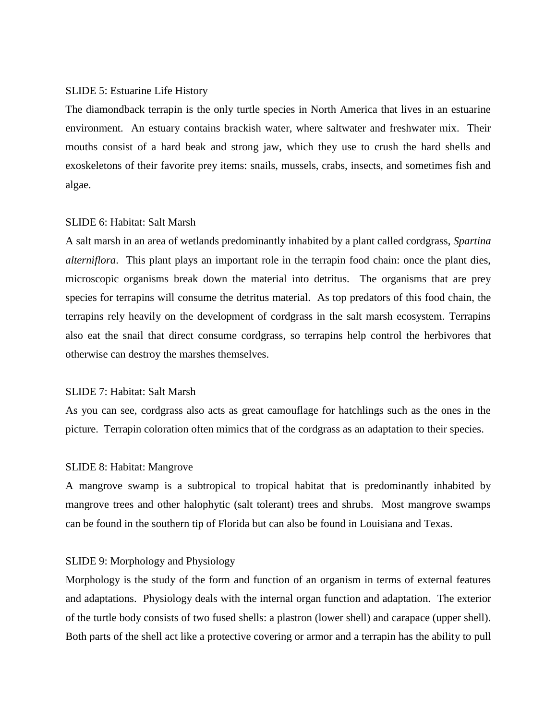#### SLIDE 5: Estuarine Life History

The diamondback terrapin is the only turtle species in North America that lives in an estuarine environment. An estuary contains brackish water, where saltwater and freshwater mix. Their mouths consist of a hard beak and strong jaw, which they use to crush the hard shells and exoskeletons of their favorite prey items: snails, mussels, crabs, insects, and sometimes fish and algae.

### SLIDE 6: Habitat: Salt Marsh

A salt marsh in an area of wetlands predominantly inhabited by a plant called cordgrass, *Spartina alterniflora*. This plant plays an important role in the terrapin food chain: once the plant dies, microscopic organisms break down the material into detritus. The organisms that are prey species for terrapins will consume the detritus material. As top predators of this food chain, the terrapins rely heavily on the development of cordgrass in the salt marsh ecosystem. Terrapins also eat the snail that direct consume cordgrass, so terrapins help control the herbivores that otherwise can destroy the marshes themselves.

# SLIDE 7: Habitat: Salt Marsh

As you can see, cordgrass also acts as great camouflage for hatchlings such as the ones in the picture. Terrapin coloration often mimics that of the cordgrass as an adaptation to their species.

### SLIDE 8: Habitat: Mangrove

A mangrove swamp is a subtropical to tropical habitat that is predominantly inhabited by mangrove trees and other halophytic (salt tolerant) trees and shrubs. Most mangrove swamps can be found in the southern tip of Florida but can also be found in Louisiana and Texas.

# SLIDE 9: Morphology and Physiology

Morphology is the study of the form and function of an organism in terms of external features and adaptations. Physiology deals with the internal organ function and adaptation. The exterior of the turtle body consists of two fused shells: a plastron (lower shell) and carapace (upper shell). Both parts of the shell act like a protective covering or armor and a terrapin has the ability to pull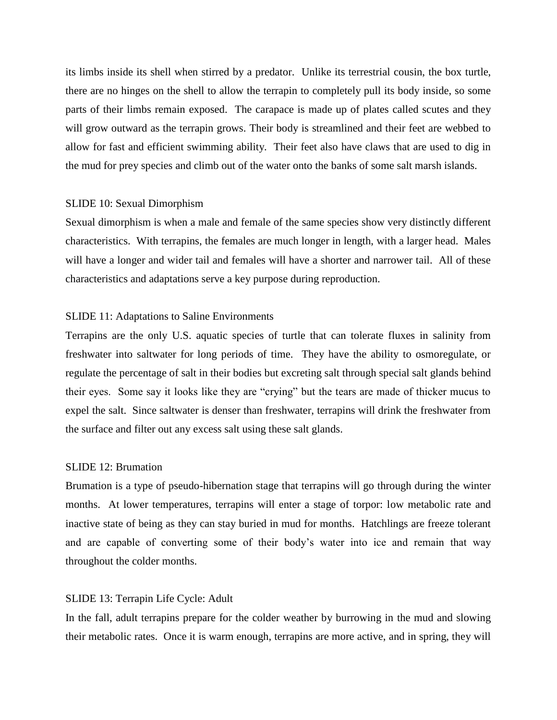its limbs inside its shell when stirred by a predator. Unlike its terrestrial cousin, the box turtle, there are no hinges on the shell to allow the terrapin to completely pull its body inside, so some parts of their limbs remain exposed. The carapace is made up of plates called scutes and they will grow outward as the terrapin grows. Their body is streamlined and their feet are webbed to allow for fast and efficient swimming ability. Their feet also have claws that are used to dig in the mud for prey species and climb out of the water onto the banks of some salt marsh islands.

### SLIDE 10: Sexual Dimorphism

Sexual dimorphism is when a male and female of the same species show very distinctly different characteristics. With terrapins, the females are much longer in length, with a larger head. Males will have a longer and wider tail and females will have a shorter and narrower tail. All of these characteristics and adaptations serve a key purpose during reproduction.

# SLIDE 11: Adaptations to Saline Environments

Terrapins are the only U.S. aquatic species of turtle that can tolerate fluxes in salinity from freshwater into saltwater for long periods of time. They have the ability to osmoregulate, or regulate the percentage of salt in their bodies but excreting salt through special salt glands behind their eyes. Some say it looks like they are "crying" but the tears are made of thicker mucus to expel the salt. Since saltwater is denser than freshwater, terrapins will drink the freshwater from the surface and filter out any excess salt using these salt glands.

# SLIDE 12: Brumation

Brumation is a type of pseudo-hibernation stage that terrapins will go through during the winter months. At lower temperatures, terrapins will enter a stage of torpor: low metabolic rate and inactive state of being as they can stay buried in mud for months. Hatchlings are freeze tolerant and are capable of converting some of their body's water into ice and remain that way throughout the colder months.

#### SLIDE 13: Terrapin Life Cycle: Adult

In the fall, adult terrapins prepare for the colder weather by burrowing in the mud and slowing their metabolic rates. Once it is warm enough, terrapins are more active, and in spring, they will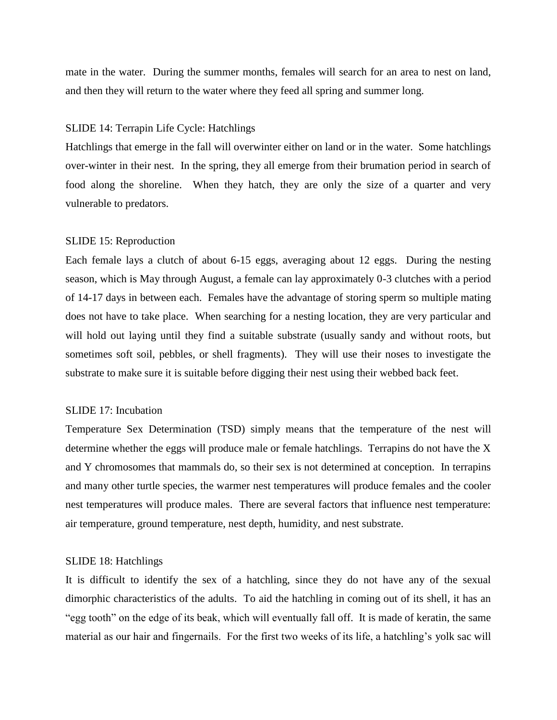mate in the water. During the summer months, females will search for an area to nest on land, and then they will return to the water where they feed all spring and summer long.

### SLIDE 14: Terrapin Life Cycle: Hatchlings

Hatchlings that emerge in the fall will overwinter either on land or in the water. Some hatchlings over-winter in their nest. In the spring, they all emerge from their brumation period in search of food along the shoreline. When they hatch, they are only the size of a quarter and very vulnerable to predators.

### SLIDE 15: Reproduction

Each female lays a clutch of about 6-15 eggs, averaging about 12 eggs. During the nesting season, which is May through August, a female can lay approximately 0-3 clutches with a period of 14-17 days in between each. Females have the advantage of storing sperm so multiple mating does not have to take place. When searching for a nesting location, they are very particular and will hold out laying until they find a suitable substrate (usually sandy and without roots, but sometimes soft soil, pebbles, or shell fragments). They will use their noses to investigate the substrate to make sure it is suitable before digging their nest using their webbed back feet.

# SLIDE 17: Incubation

Temperature Sex Determination (TSD) simply means that the temperature of the nest will determine whether the eggs will produce male or female hatchlings. Terrapins do not have the X and Y chromosomes that mammals do, so their sex is not determined at conception. In terrapins and many other turtle species, the warmer nest temperatures will produce females and the cooler nest temperatures will produce males. There are several factors that influence nest temperature: air temperature, ground temperature, nest depth, humidity, and nest substrate.

#### SLIDE 18: Hatchlings

It is difficult to identify the sex of a hatchling, since they do not have any of the sexual dimorphic characteristics of the adults. To aid the hatchling in coming out of its shell, it has an "egg tooth" on the edge of its beak, which will eventually fall off. It is made of keratin, the same material as our hair and fingernails. For the first two weeks of its life, a hatchling's yolk sac will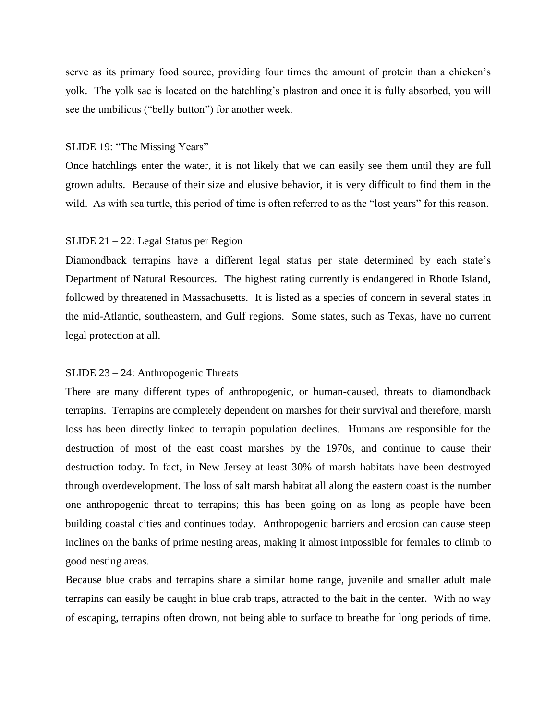serve as its primary food source, providing four times the amount of protein than a chicken's yolk. The yolk sac is located on the hatchling's plastron and once it is fully absorbed, you will see the umbilicus ("belly button") for another week.

### SLIDE 19: "The Missing Years"

Once hatchlings enter the water, it is not likely that we can easily see them until they are full grown adults. Because of their size and elusive behavior, it is very difficult to find them in the wild. As with sea turtle, this period of time is often referred to as the "lost years" for this reason.

# SLIDE 21 – 22: Legal Status per Region

Diamondback terrapins have a different legal status per state determined by each state's Department of Natural Resources. The highest rating currently is endangered in Rhode Island, followed by threatened in Massachusetts. It is listed as a species of concern in several states in the mid-Atlantic, southeastern, and Gulf regions. Some states, such as Texas, have no current legal protection at all.

### SLIDE 23 – 24: Anthropogenic Threats

There are many different types of anthropogenic, or human-caused, threats to diamondback terrapins. Terrapins are completely dependent on marshes for their survival and therefore, marsh loss has been directly linked to terrapin population declines. Humans are responsible for the destruction of most of the east coast marshes by the 1970s, and continue to cause their destruction today. In fact, in New Jersey at least 30% of marsh habitats have been destroyed through overdevelopment. The loss of salt marsh habitat all along the eastern coast is the number one anthropogenic threat to terrapins; this has been going on as long as people have been building coastal cities and continues today. Anthropogenic barriers and erosion can cause steep inclines on the banks of prime nesting areas, making it almost impossible for females to climb to good nesting areas.

Because blue crabs and terrapins share a similar home range, juvenile and smaller adult male terrapins can easily be caught in blue crab traps, attracted to the bait in the center. With no way of escaping, terrapins often drown, not being able to surface to breathe for long periods of time.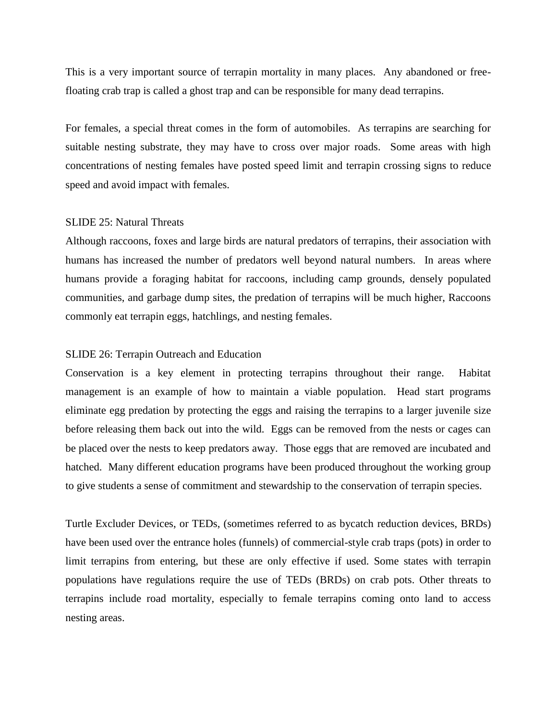This is a very important source of terrapin mortality in many places. Any abandoned or freefloating crab trap is called a ghost trap and can be responsible for many dead terrapins.

For females, a special threat comes in the form of automobiles. As terrapins are searching for suitable nesting substrate, they may have to cross over major roads. Some areas with high concentrations of nesting females have posted speed limit and terrapin crossing signs to reduce speed and avoid impact with females.

# SLIDE 25: Natural Threats

Although raccoons, foxes and large birds are natural predators of terrapins, their association with humans has increased the number of predators well beyond natural numbers. In areas where humans provide a foraging habitat for raccoons, including camp grounds, densely populated communities, and garbage dump sites, the predation of terrapins will be much higher, Raccoons commonly eat terrapin eggs, hatchlings, and nesting females.

# SLIDE 26: Terrapin Outreach and Education

Conservation is a key element in protecting terrapins throughout their range. Habitat management is an example of how to maintain a viable population. Head start programs eliminate egg predation by protecting the eggs and raising the terrapins to a larger juvenile size before releasing them back out into the wild. Eggs can be removed from the nests or cages can be placed over the nests to keep predators away. Those eggs that are removed are incubated and hatched. Many different education programs have been produced throughout the working group to give students a sense of commitment and stewardship to the conservation of terrapin species.

Turtle Excluder Devices, or TEDs, (sometimes referred to as bycatch reduction devices, BRDs) have been used over the entrance holes (funnels) of commercial-style crab traps (pots) in order to limit terrapins from entering, but these are only effective if used. Some states with terrapin populations have regulations require the use of TEDs (BRDs) on crab pots. Other threats to terrapins include road mortality, especially to female terrapins coming onto land to access nesting areas.